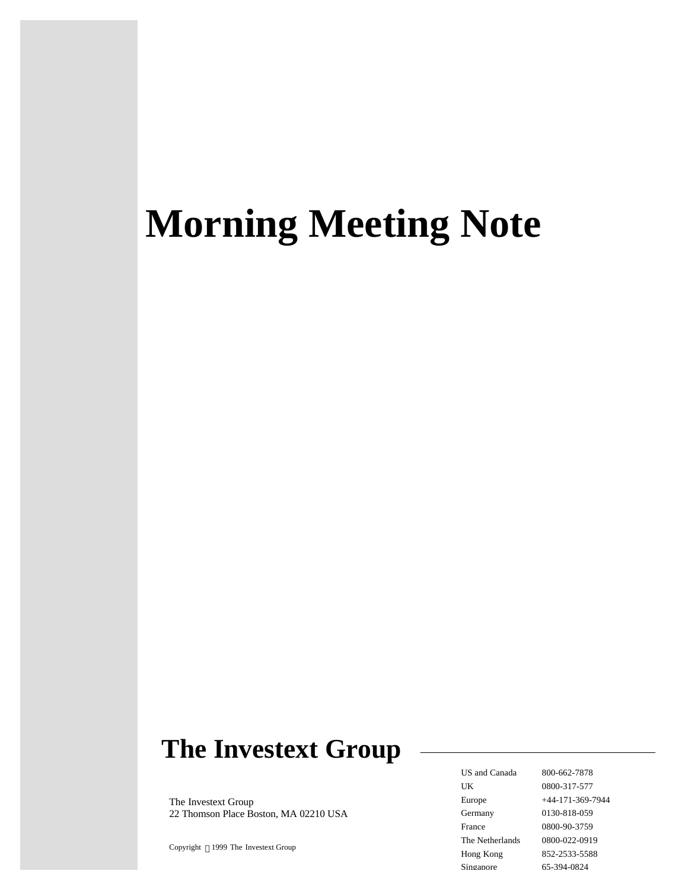# **Morning Meeting Note**

## **The Investext Group**

The Investext Group 22 Thomson Place Boston, MA 02210 USA

Copyright  $\circledcirc$ 1999 The Investext Group

US and Canada 800-662-7878 UK 0800-317-577 Europe +44-171-369-7944 Germany 0130-818-059 France 0800-90-3759 The Netherlands 0800-022-0919 Hong Kong 852-2533-5588 Singapore 65-394-0824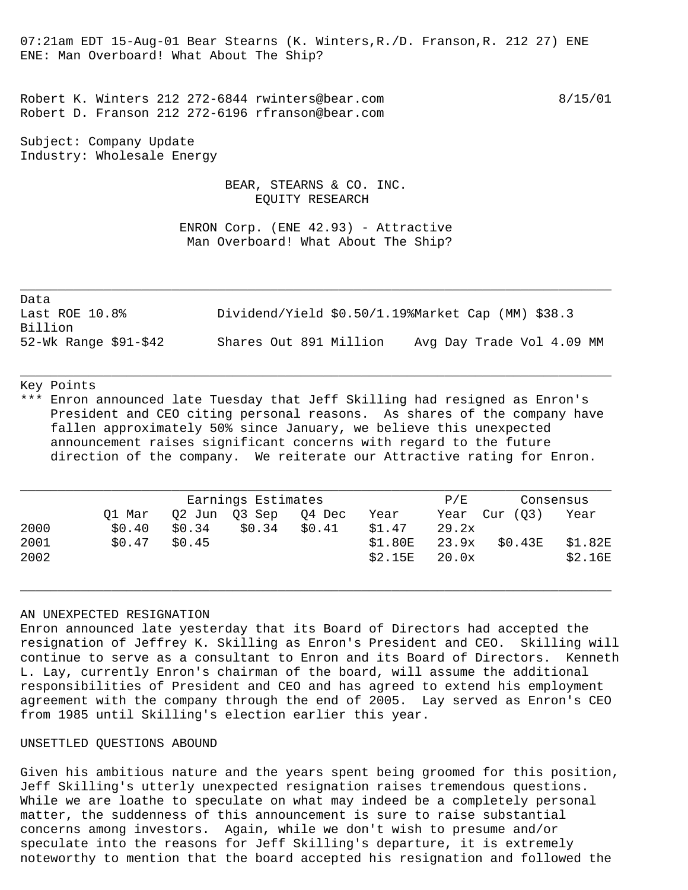07:21am EDT 15-Aug-01 Bear Stearns (K. Winters,R./D. Franson,R. 212 27) ENE ENE: Man Overboard! What About The Ship?

Robert K. Winters 212 272-6844 rwinters@bear.com 8/15/01 Robert D. Franson 212 272-6196 rfranson@bear.com

Subject: Company Update Industry: Wholesale Energy

> BEAR, STEARNS & CO. INC. EQUITY RESEARCH

 ENRON Corp. (ENE 42.93) - Attractive Man Overboard! What About The Ship?

Data Last ROE 10.8% Dividend/Yield \$0.50/1.19%Market Cap (MM) \$38.3 Billion 52-Wk Range \$91-\$42 Shares Out 891 Million Avg Day Trade Vol 4.09 MM

\_\_\_\_\_\_\_\_\_\_\_\_\_\_\_\_\_\_\_\_\_\_\_\_\_\_\_\_\_\_\_\_\_\_\_\_\_\_\_\_\_\_\_\_\_\_\_\_\_\_\_\_\_\_\_\_\_\_\_\_\_\_\_\_\_\_\_\_\_\_\_\_\_\_\_\_\_\_

### Key Points

\*\*\* Enron announced late Tuesday that Jeff Skilling had resigned as Enron's President and CEO citing personal reasons. As shares of the company have fallen approximately 50% since January, we believe this unexpected announcement raises significant concerns with regard to the future direction of the company. We reiterate our Attractive rating for Enron.

\_\_\_\_\_\_\_\_\_\_\_\_\_\_\_\_\_\_\_\_\_\_\_\_\_\_\_\_\_\_\_\_\_\_\_\_\_\_\_\_\_\_\_\_\_\_\_\_\_\_\_\_\_\_\_\_\_\_\_\_\_\_\_\_\_\_\_\_\_\_\_\_\_\_\_\_\_\_

|      | Earnings Estimates |        |               |        |         | P/F   | Consensus |         |
|------|--------------------|--------|---------------|--------|---------|-------|-----------|---------|
|      | Ol Mar             |        | 02 Jun 03 Sep | 04 Dec | Year    | Year  | Cur (03)  | Year    |
| 2000 | \$0.40             | \$0.34 | \$0.34        | \$0.41 | \$1.47  | 29.2x |           |         |
| 2001 | \$0.47             | \$0.45 |               |        | \$1.80E | 23.9x | \$0.43E   | \$1.82E |
| 2002 |                    |        |               |        | \$2.15E | 20.0x |           | \$2.16E |

\_\_\_\_\_\_\_\_\_\_\_\_\_\_\_\_\_\_\_\_\_\_\_\_\_\_\_\_\_\_\_\_\_\_\_\_\_\_\_\_\_\_\_\_\_\_\_\_\_\_\_\_\_\_\_\_\_\_\_\_\_\_\_\_\_\_\_\_\_\_\_\_\_\_\_\_\_\_

#### AN UNEXPECTED RESIGNATION

Enron announced late yesterday that its Board of Directors had accepted the resignation of Jeffrey K. Skilling as Enron's President and CEO. Skilling will continue to serve as a consultant to Enron and its Board of Directors. Kenneth L. Lay, currently Enron's chairman of the board, will assume the additional responsibilities of President and CEO and has agreed to extend his employment agreement with the company through the end of 2005. Lay served as Enron's CEO from 1985 until Skilling's election earlier this year.

#### UNSETTLED QUESTIONS ABOUND

Given his ambitious nature and the years spent being groomed for this position, Jeff Skilling's utterly unexpected resignation raises tremendous questions. While we are loathe to speculate on what may indeed be a completely personal matter, the suddenness of this announcement is sure to raise substantial concerns among investors. Again, while we don't wish to presume and/or speculate into the reasons for Jeff Skilling's departure, it is extremely noteworthy to mention that the board accepted his resignation and followed the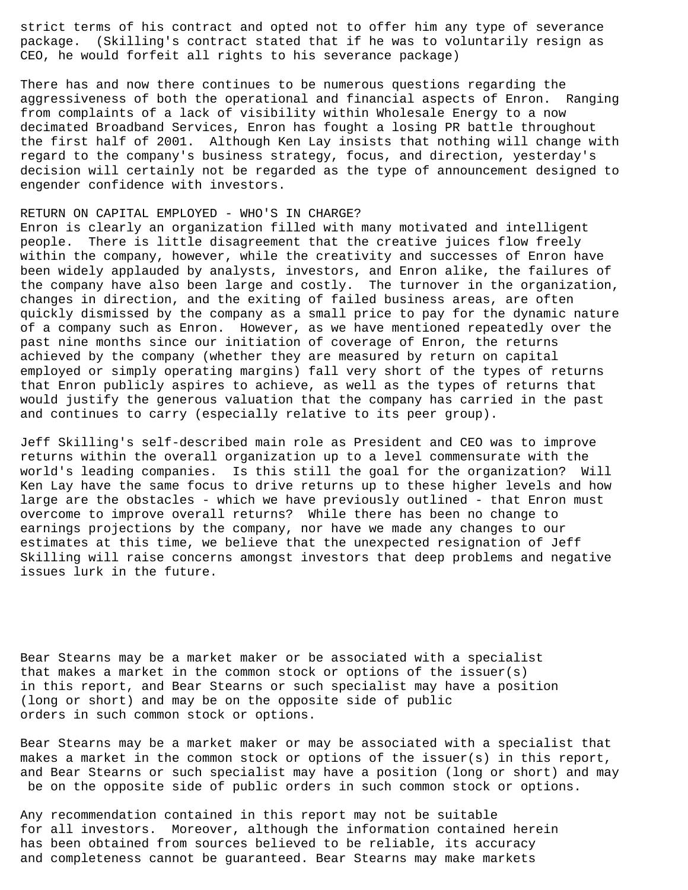strict terms of his contract and opted not to offer him any type of severance package. (Skilling's contract stated that if he was to voluntarily resign as CEO, he would forfeit all rights to his severance package)

There has and now there continues to be numerous questions regarding the aggressiveness of both the operational and financial aspects of Enron. Ranging from complaints of a lack of visibility within Wholesale Energy to a now decimated Broadband Services, Enron has fought a losing PR battle throughout the first half of 2001. Although Ken Lay insists that nothing will change with regard to the company's business strategy, focus, and direction, yesterday's decision will certainly not be regarded as the type of announcement designed to engender confidence with investors.

#### RETURN ON CAPITAL EMPLOYED - WHO'S IN CHARGE?

Enron is clearly an organization filled with many motivated and intelligent people. There is little disagreement that the creative juices flow freely within the company, however, while the creativity and successes of Enron have been widely applauded by analysts, investors, and Enron alike, the failures of the company have also been large and costly. The turnover in the organization, changes in direction, and the exiting of failed business areas, are often quickly dismissed by the company as a small price to pay for the dynamic nature of a company such as Enron. However, as we have mentioned repeatedly over the past nine months since our initiation of coverage of Enron, the returns achieved by the company (whether they are measured by return on capital employed or simply operating margins) fall very short of the types of returns that Enron publicly aspires to achieve, as well as the types of returns that would justify the generous valuation that the company has carried in the past and continues to carry (especially relative to its peer group).

Jeff Skilling's self-described main role as President and CEO was to improve returns within the overall organization up to a level commensurate with the world's leading companies. Is this still the goal for the organization? Will Ken Lay have the same focus to drive returns up to these higher levels and how large are the obstacles - which we have previously outlined - that Enron must overcome to improve overall returns? While there has been no change to earnings projections by the company, nor have we made any changes to our estimates at this time, we believe that the unexpected resignation of Jeff Skilling will raise concerns amongst investors that deep problems and negative issues lurk in the future.

Bear Stearns may be a market maker or be associated with a specialist that makes a market in the common stock or options of the issuer(s) in this report, and Bear Stearns or such specialist may have a position (long or short) and may be on the opposite side of public orders in such common stock or options.

Bear Stearns may be a market maker or may be associated with a specialist that makes a market in the common stock or options of the issuer(s) in this report, and Bear Stearns or such specialist may have a position (long or short) and may be on the opposite side of public orders in such common stock or options.

Any recommendation contained in this report may not be suitable for all investors. Moreover, although the information contained herein has been obtained from sources believed to be reliable, its accuracy and completeness cannot be guaranteed. Bear Stearns may make markets